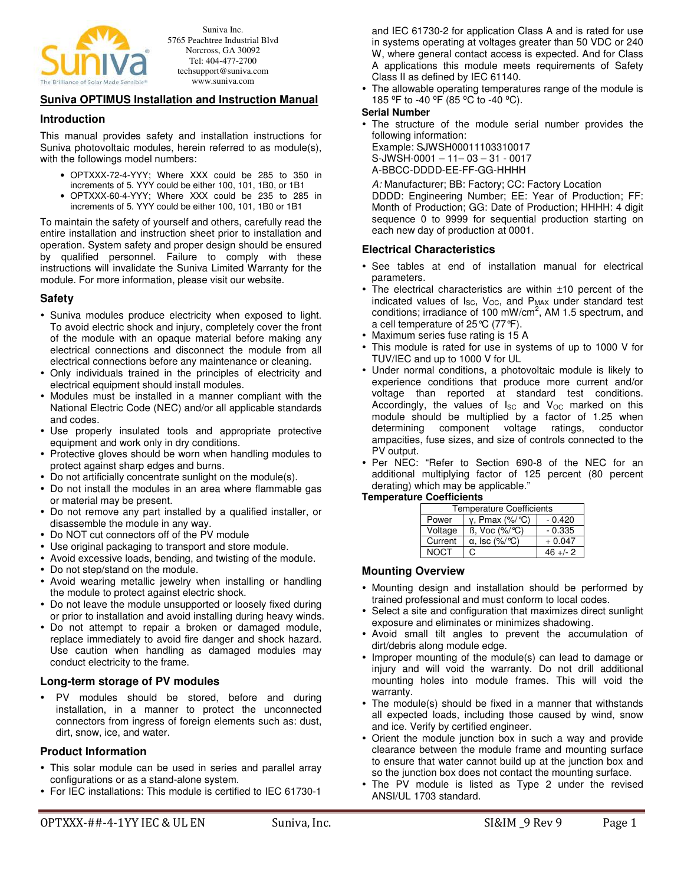

Suniva Inc. 5765 Peachtree Industrial Blvd Norcross, GA 30092 Tel: 404-477-2700 techsupport@suniva.com www.suniva.com

## **Suniva OPTIMUS Installation and Instruction Manual**

#### **Introduction**

This manual provides safety and installation instructions for Suniva photovoltaic modules, herein referred to as module(s), with the followings model numbers:

- OPTXXX-72-4-YYY; Where XXX could be 285 to 350 in increments of 5. YYY could be either 100, 101, 1B0, or 1B1
- OPTXXX-60-4-YYY; Where XXX could be 235 to 285 in increments of 5. YYY could be either 100, 101, 1B0 or 1B1

To maintain the safety of yourself and others, carefully read the entire installation and instruction sheet prior to installation and operation. System safety and proper design should be ensured by qualified personnel. Failure to comply with these instructions will invalidate the Suniva Limited Warranty for the module. For more information, please visit our website.

### **Safety**

- Suniva modules produce electricity when exposed to light. To avoid electric shock and injury, completely cover the front of the module with an opaque material before making any electrical connections and disconnect the module from all electrical connections before any maintenance or cleaning.
- Only individuals trained in the principles of electricity and electrical equipment should install modules.
- Modules must be installed in a manner compliant with the National Electric Code (NEC) and/or all applicable standards and codes.
- Use properly insulated tools and appropriate protective equipment and work only in dry conditions.
- Protective gloves should be worn when handling modules to protect against sharp edges and burns.
- Do not artificially concentrate sunlight on the module(s).
- Do not install the modules in an area where flammable gas or material may be present.
- Do not remove any part installed by a qualified installer, or disassemble the module in any way.
- Do NOT cut connectors off of the PV module
- Use original packaging to transport and store module.
- Avoid excessive loads, bending, and twisting of the module.
- Do not step/stand on the module.
- Avoid wearing metallic jewelry when installing or handling the module to protect against electric shock.
- Do not leave the module unsupported or loosely fixed during or prior to installation and avoid installing during heavy winds.
- Do not attempt to repair a broken or damaged module, replace immediately to avoid fire danger and shock hazard. Use caution when handling as damaged modules may conduct electricity to the frame.

### **Long-term storage of PV modules**

 PV modules should be stored, before and during installation, in a manner to protect the unconnected connectors from ingress of foreign elements such as: dust, dirt, snow, ice, and water.

### **Product Information**

- This solar module can be used in series and parallel array configurations or as a stand-alone system.
- For IEC installations: This module is certified to IEC 61730-1

and IEC 61730-2 for application Class A and is rated for use in systems operating at voltages greater than 50 VDC or 240 W, where general contact access is expected. And for Class A applications this module meets requirements of Safety Class II as defined by IEC 61140.

 The allowable operating temperatures range of the module is 185 °F to -40 °F (85 °C to -40 °C).

#### **Serial Number**

- The structure of the module serial number provides the following information:
	- Example: SJWSH00011103310017 S-JWSH-0001 – 11– 03 – 31 - 0017
- A-BBCC-DDDD-EE-FF-GG-HHHH

A: Manufacturer; BB: Factory; CC: Factory Location DDDD: Engineering Number; EE: Year of Production; FF: Month of Production; GG: Date of Production; HHHH: 4 digit sequence 0 to 9999 for sequential production starting on each new day of production at 0001.

## **Electrical Characteristics**

- See tables at end of installation manual for electrical parameters.
- The electrical characteristics are within ±10 percent of the indicated values of  $I_{SC}$ ,  $V_{OC}$ , and  $P_{MAX}$  under standard test conditions; irradiance of 100 mW/cm<sup>2</sup>, AM 1.5 spectrum, and a cell temperature of 25°C (77°F).
- Maximum series fuse rating is 15 A
- This module is rated for use in systems of up to 1000 V for TUV/IEC and up to 1000 V for UL
- Under normal conditions, a photovoltaic module is likely to experience conditions that produce more current and/or voltage than reported at standard test conditions. Accordingly, the values of  $I_{SC}$  and  $V_{OC}$  marked on this module should be multiplied by a factor of 1.25 when determining component voltage ratings, conductor ampacities, fuse sizes, and size of controls connected to the PV output.
- Per NEC: "Refer to Section 690-8 of the NEC for an additional multiplying factor of 125 percent (80 percent derating) which may be applicable."

#### **Temperature Coefficients**

| <b>Temperature Coefficients</b> |                                        |             |  |  |
|---------------------------------|----------------------------------------|-------------|--|--|
| Power                           | $y$ , Pmax $(\frac{9}{6})^{\circ}C$    | $-0.420$    |  |  |
| Voltage                         | $\beta$ , Voc $(\frac{9}{6})^{\circ}C$ | $-0.335$    |  |  |
| Current                         | $\alpha$ , Isc (%/°C)                  | $+0.047$    |  |  |
| <b>NOCT</b>                     | C.                                     | $46 + (-2)$ |  |  |

#### **Mounting Overview**

- Mounting design and installation should be performed by trained professional and must conform to local codes.
- Select a site and configuration that maximizes direct sunlight exposure and eliminates or minimizes shadowing.
- Avoid small tilt angles to prevent the accumulation of dirt/debris along module edge.
- Improper mounting of the module(s) can lead to damage or injury and will void the warranty. Do not drill additional mounting holes into module frames. This will void the warranty.
- The module(s) should be fixed in a manner that withstands all expected loads, including those caused by wind, snow and ice. Verify by certified engineer.
- Orient the module junction box in such a way and provide clearance between the module frame and mounting surface to ensure that water cannot build up at the junction box and so the junction box does not contact the mounting surface.
- The PV module is listed as Type 2 under the revised ANSI/UL 1703 standard.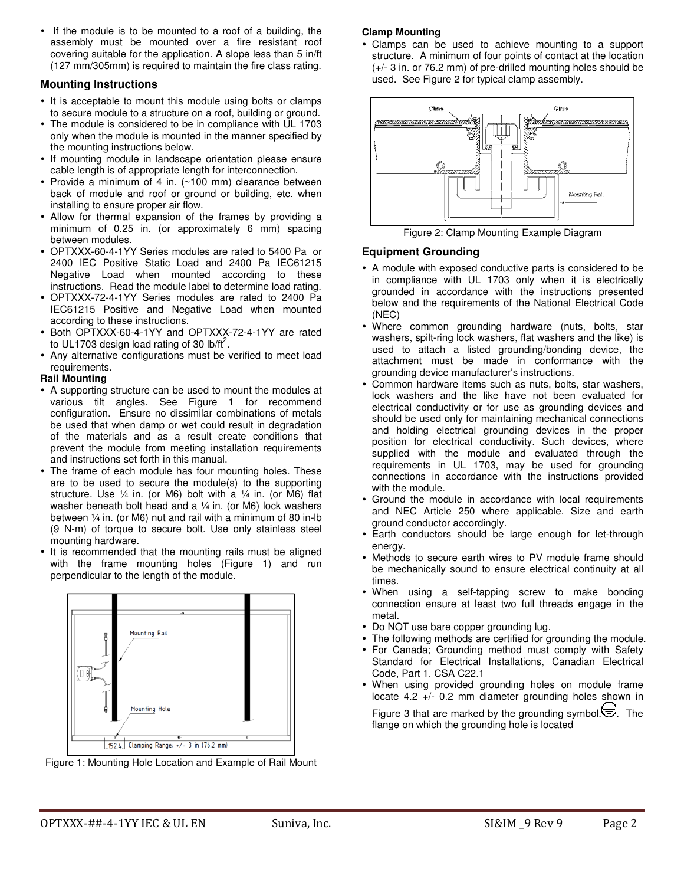• If the module is to be mounted to a roof of a building, the assembly must be mounted over a fire resistant roof covering suitable for the application. A slope less than 5 in/ft (127 mm/305mm) is required to maintain the fire class rating.

## **Mounting Instructions**

- It is acceptable to mount this module using bolts or clamps to secure module to a structure on a roof, building or ground.
- The module is considered to be in compliance with UL 1703 only when the module is mounted in the manner specified by the mounting instructions below.
- If mounting module in landscape orientation please ensure cable length is of appropriate length for interconnection.
- Provide a minimum of 4 in. (~100 mm) clearance between back of module and roof or ground or building, etc. when installing to ensure proper air flow.
- Allow for thermal expansion of the frames by providing a minimum of 0.25 in. (or approximately 6 mm) spacing between modules.
- OPTXXX-60-4-1YY Series modules are rated to 5400 Pa or 2400 IEC Positive Static Load and 2400 Pa IEC61215 Negative Load when mounted according to these instructions. Read the module label to determine load rating.
- OPTXXX-72-4-1YY Series modules are rated to 2400 Pa IEC61215 Positive and Negative Load when mounted according to these instructions.
- Both OPTXXX-60-4-1YY and OPTXXX-72-4-1YY are rated to UL1703 design load rating of 30 lb/ft<sup>2</sup>.
- Any alternative configurations must be verified to meet load requirements.

### **Rail Mounting**

- A supporting structure can be used to mount the modules at various tilt angles. See Figure 1 for recommend configuration. Ensure no dissimilar combinations of metals be used that when damp or wet could result in degradation of the materials and as a result create conditions that prevent the module from meeting installation requirements and instructions set forth in this manual.
- The frame of each module has four mounting holes. These are to be used to secure the module(s) to the supporting structure. Use  $\frac{1}{4}$  in. (or M6) bolt with a  $\frac{1}{4}$  in. (or M6) flat washer beneath bolt head and a  $\frac{1}{4}$  in. (or M6) lock washers between ¼ in. (or M6) nut and rail with a minimum of 80 in-lb (9 N-m) of torque to secure bolt. Use only stainless steel mounting hardware.
- It is recommended that the mounting rails must be aligned with the frame mounting holes (Figure 1) and run perpendicular to the length of the module.





## **Clamp Mounting**

 Clamps can be used to achieve mounting to a support structure. A minimum of four points of contact at the location (+/- 3 in. or 76.2 mm) of pre-drilled mounting holes should be used. See Figure 2 for typical clamp assembly.



Figure 2: Clamp Mounting Example Diagram

## **Equipment Grounding**

- A module with exposed conductive parts is considered to be in compliance with UL 1703 only when it is electrically grounded in accordance with the instructions presented below and the requirements of the National Electrical Code (NEC)
- Where common grounding hardware (nuts, bolts, star washers, spilt-ring lock washers, flat washers and the like) is used to attach a listed grounding/bonding device, the attachment must be made in conformance with the grounding device manufacturer's instructions.
- Common hardware items such as nuts, bolts, star washers, lock washers and the like have not been evaluated for electrical conductivity or for use as grounding devices and should be used only for maintaining mechanical connections and holding electrical grounding devices in the proper position for electrical conductivity. Such devices, where supplied with the module and evaluated through the requirements in UL 1703, may be used for grounding connections in accordance with the instructions provided with the module.
- Ground the module in accordance with local requirements and NEC Article 250 where applicable. Size and earth ground conductor accordingly.
- Earth conductors should be large enough for let-through energy.
- Methods to secure earth wires to PV module frame should be mechanically sound to ensure electrical continuity at all times.
- When using a self-tapping screw to make bonding connection ensure at least two full threads engage in the metal.
- Do NOT use bare copper grounding lug.
- The following methods are certified for grounding the module.
- For Canada; Grounding method must comply with Safety Standard for Electrical Installations, Canadian Electrical Code, Part 1. CSA C22.1
- When using provided grounding holes on module frame locate 4.2 +/- 0.2 mm diameter grounding holes shown in

Figure 3 that are marked by the grounding symbol. $\Rightarrow$ . The flange on which the grounding hole is located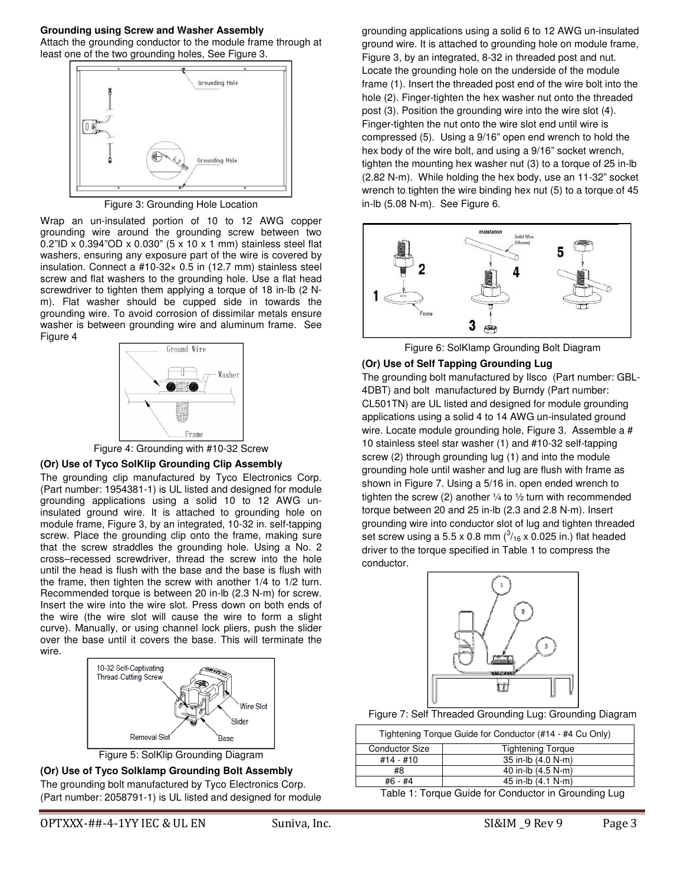#### **Grounding using Screw and Washer Assembly**  Attach the grounding conductor to the module frame through at least one of the two grounding holes, See Figure 3.



Figure 3: Grounding Hole Location

Wrap an un-insulated portion of 10 to 12 AWG copper grounding wire around the grounding screw between two 0.2"ID x 0.394"OD x 0.030" (5 x 10 x 1 mm) stainless steel flat washers, ensuring any exposure part of the wire is covered by insulation. Connect a #10-32× 0.5 in (12.7 mm) stainless steel screw and flat washers to the grounding hole. Use a flat head screwdriver to tighten them applying a torque of 18 in-lb (2 Nm). Flat washer should be cupped side in towards the grounding wire. To avoid corrosion of dissimilar metals ensure washer is between grounding wire and aluminum frame. See Figure 4



Figure 4: Grounding with #10-32 Screw

## **(Or) Use of Tyco SolKlip Grounding Clip Assembly**

The grounding clip manufactured by Tyco Electronics Corp. (Part number: 1954381-1) is UL listed and designed for module grounding applications using a solid 10 to 12 AWG uninsulated ground wire. It is attached to grounding hole on module frame, Figure 3, by an integrated, 10-32 in. self-tapping screw. Place the grounding clip onto the frame, making sure that the screw straddles the grounding hole. Using a No. 2 cross–recessed screwdriver, thread the screw into the hole until the head is flush with the base and the base is flush with the frame, then tighten the screw with another 1/4 to 1/2 turn. Recommended torque is between 20 in-lb (2.3 N-m) for screw. Insert the wire into the wire slot. Press down on both ends of the wire (the wire slot will cause the wire to form a slight curve). Manually, or using channel lock pliers, push the slider over the base until it covers the base. This will terminate the wire.







OPTXXX-##-4-1YY IEC & UL EN Suniva, Inc. Sunivalue SI&IM \_9 Rev 9 Page 3

grounding applications using a solid 6 to 12 AWG un-insulated ground wire. It is attached to grounding hole on module frame, Figure 3, by an integrated, 8-32 in threaded post and nut. Locate the grounding hole on the underside of the module frame (1). Insert the threaded post end of the wire bolt into the hole (2). Finger-tighten the hex washer nut onto the threaded post (3). Position the grounding wire into the wire slot (4). Finger-tighten the nut onto the wire slot end until wire is compressed (5). Using a 9/16" open end wrench to hold the hex body of the wire bolt, and using a 9/16" socket wrench, tighten the mounting hex washer nut (3) to a torque of 25 in-lb (2.82 N-m). While holding the hex body, use an 11-32" socket wrench to tighten the wire binding hex nut (5) to a torque of 45 in-lb (5.08 N-m). See Figure 6.



Figure 6: SolKlamp Grounding Bolt Diagram

## **(Or) Use of Self Tapping Grounding Lug**

The grounding bolt manufactured by Ilsco (Part number: GBL-4DBT) and bolt manufactured by Burndy (Part number: CL501TN) are UL listed and designed for module grounding applications using a solid 4 to 14 AWG un-insulated ground wire. Locate module grounding hole, Figure 3. Assemble a # 10 stainless steel star washer (1) and #10-32 self-tapping screw (2) through grounding lug (1) and into the module grounding hole until washer and lug are flush with frame as shown in Figure 7. Using a 5/16 in. open ended wrench to tighten the screw (2) another  $\frac{1}{4}$  to  $\frac{1}{2}$  turn with recommended torque between 20 and 25 in-lb (2.3 and 2.8 N-m). Insert grounding wire into conductor slot of lug and tighten threaded set screw using a 5.5 x 0.8 mm  $\binom{3}{16}$  x 0.025 in.) flat headed driver to the torque specified in Table 1 to compress the conductor.



### Figure 7: Self Threaded Grounding Lug: Grounding Diagram

| Tightening Torque Guide for Conductor (#14 - #4 Cu Only)    |                          |  |  |  |
|-------------------------------------------------------------|--------------------------|--|--|--|
| <b>Conductor Size</b>                                       | <b>Tightening Torque</b> |  |  |  |
| $#14 - #10$                                                 | 35 in-lb (4.0 N-m)       |  |  |  |
| #8                                                          | 40 in-lb (4.5 N-m)       |  |  |  |
| #6 - #4                                                     | 45 in-lb (4.1 N-m)       |  |  |  |
| Telefa di Tavaura Ordela fau Osmalustavila Ovarnadinal Luar |                          |  |  |  |

Table 1: Torque Guide for Conductor in Grounding Lug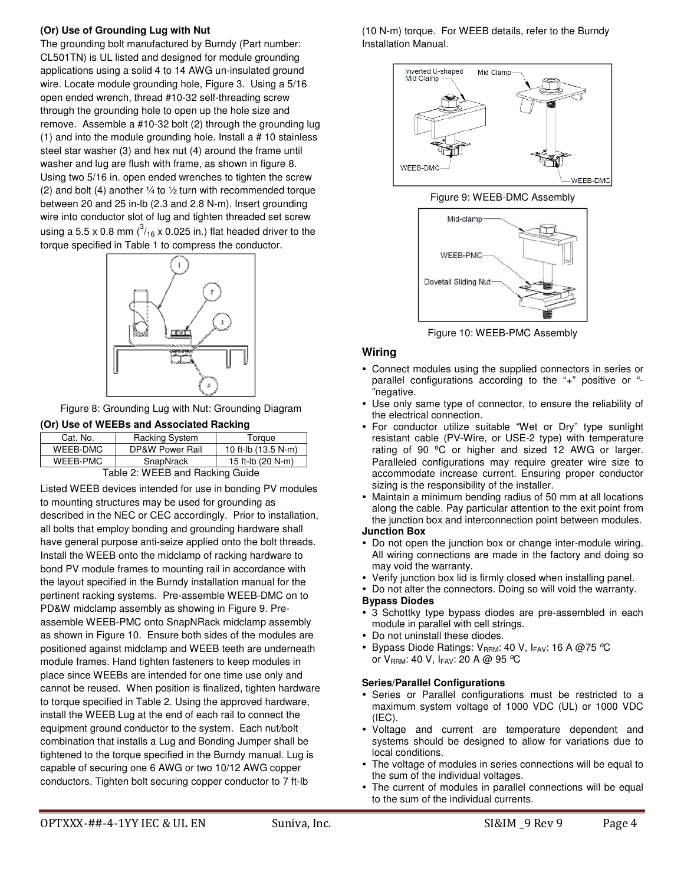## **(Or) Use of Grounding Lug with Nut**

The grounding bolt manufactured by Burndy (Part number: CL501TN) is UL listed and designed for module grounding applications using a solid 4 to 14 AWG un-insulated ground wire. Locate module grounding hole, Figure 3. Using a 5/16 open ended wrench, thread #10-32 self-threading screw through the grounding hole to open up the hole size and remove. Assemble a #10-32 bolt (2) through the grounding lug (1) and into the module grounding hole. Install a # 10 stainless steel star washer (3) and hex nut (4) around the frame until washer and lug are flush with frame, as shown in figure 8. Using two 5/16 in. open ended wrenches to tighten the screw (2) and bolt (4) another  $\frac{1}{4}$  to  $\frac{1}{2}$  turn with recommended torque between 20 and 25 in-lb (2.3 and 2.8 N-m). Insert grounding wire into conductor slot of lug and tighten threaded set screw using a 5.5 x 0.8 mm  $\binom{3}{16}$  x 0.025 in.) flat headed driver to the torque specified in Table 1 to compress the conductor.



Figure 8: Grounding Lug with Nut: Grounding Diagram

## **(Or) Use of WEEBs and Associated Racking**

| Cat. No.                            | <b>Racking System</b> | Torque              |  |  |
|-------------------------------------|-----------------------|---------------------|--|--|
| WEEB-DMC                            | DP&W Power Rail       | 10 ft-lb (13.5 N-m) |  |  |
| WEEB-PMC                            | SnapNrack             | 15 ft-lb (20 N-m)   |  |  |
| $T$ elele O: WEED and Deaking Ouide |                       |                     |  |  |

Table 2: WEEB and Racking Guide

Listed WEEB devices intended for use in bonding PV modules to mounting structures may be used for grounding as described in the NEC or CEC accordingly. Prior to installation, all bolts that employ bonding and grounding hardware shall have general purpose anti-seize applied onto the bolt threads. Install the WEEB onto the midclamp of racking hardware to bond PV module frames to mounting rail in accordance with the layout specified in the Burndy installation manual for the pertinent racking systems. Pre-assemble WEEB-DMC on to PD&W midclamp assembly as showing in Figure 9. Preassemble WEEB-PMC onto SnapNRack midclamp assembly as shown in Figure 10. Ensure both sides of the modules are positioned against midclamp and WEEB teeth are underneath module frames. Hand tighten fasteners to keep modules in place since WEEBs are intended for one time use only and cannot be reused. When position is finalized, tighten hardware to torque specified in Table 2. Using the approved hardware, install the WEEB Lug at the end of each rail to connect the equipment ground conductor to the system. Each nut/bolt combination that installs a Lug and Bonding Jumper shall be tightened to the torque specified in the Burndy manual. Lug is capable of securing one 6 AWG or two 10/12 AWG copper conductors. Tighten bolt securing copper conductor to 7 ft-lb

(10 N-m) torque. For WEEB details, refer to the Burndy Installation Manual.



#### Figure 9: WEEB-DMC Assembly



Figure 10: WEEB-PMC Assembly

## **Wiring**

- Connect modules using the supplied connectors in series or parallel configurations according to the "+" positive or "- "negative.
- Use only same type of connector, to ensure the reliability of the electrical connection.
- For conductor utilize suitable "Wet or Dry" type sunlight resistant cable (PV-Wire, or USE-2 type) with temperature rating of 90 °C or higher and sized 12 AWG or larger. Paralleled configurations may require greater wire size to accommodate increase current. Ensuring proper conductor sizing is the responsibility of the installer.
- Maintain a minimum bending radius of 50 mm at all locations along the cable. Pay particular attention to the exit point from the junction box and interconnection point between modules.

## **Junction Box**

- Do not open the junction box or change inter-module wiring. All wiring connections are made in the factory and doing so may void the warranty.
- Verify junction box lid is firmly closed when installing panel.
- Do not alter the connectors. Doing so will void the warranty.

### **Bypass Diodes**

- 3 Schottky type bypass diodes are pre-assembled in each module in parallel with cell strings.
- Do not uninstall these diodes.
- Bypass Diode Ratings:  $V_{RRM}$ : 40 V, IFAV: 16 A @75 °C or  $V_{\text{BBM}}$ : 40 V,  $I_{\text{FAV}}$ : 20 A @ 95 °C

### **Series/Parallel Configurations**

- Series or Parallel configurations must be restricted to a maximum system voltage of 1000 VDC (UL) or 1000 VDC (IEC).
- Voltage and current are temperature dependent and systems should be designed to allow for variations due to local conditions.
- The voltage of modules in series connections will be equal to the sum of the individual voltages.
- The current of modules in parallel connections will be equal to the sum of the individual currents.